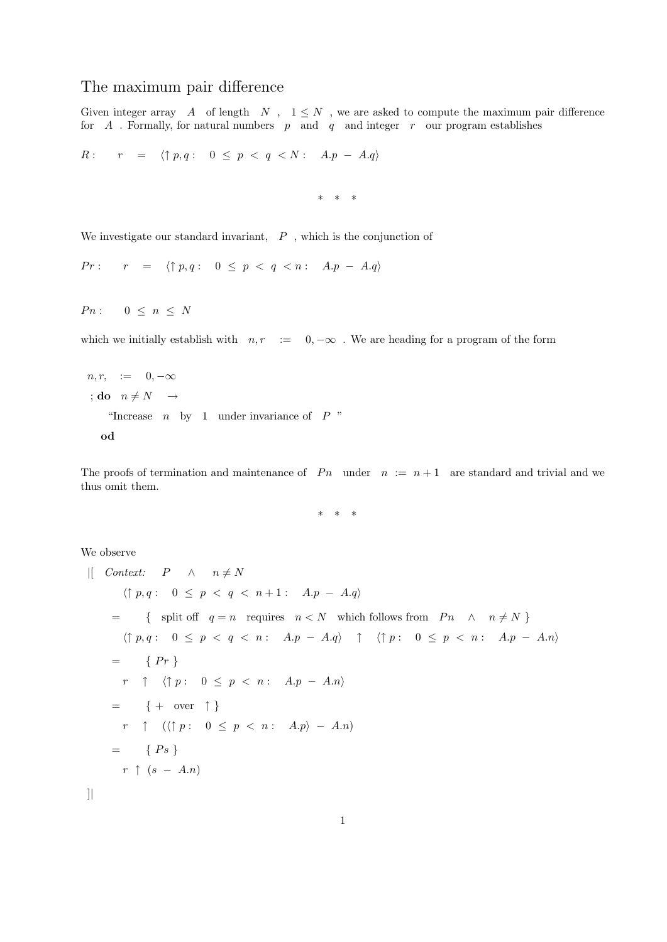## The maximum pair difference

Given integer array  $A$  of length  $N$ ,  $1 \leq N$ , we are asked to compute the maximum pair difference for  $A$ . Formally, for natural numbers  $p$  and  $q$  and integer  $r$  our program establishes

$$
R: \quad r = \langle \uparrow p, q: 0 \le p < q < N: A.p - A.q \rangle
$$

\* \* \*

We investigate our standard invariant,  $\;\;P\;$  , which is the conjunction of

 $Pr: \quad r = \langle \uparrow p, q : 0 \leq p < q < n : A.p - A.q \rangle$ 

 $P_n : 0 \leq n \leq N$ 

which we initially establish with  $n, r := 0, -\infty$ . We are heading for a program of the form

```
n, r, := 0, -\infty; do n \neq N \rightarrow"Increase n by 1 under invariance of P"
  od
```
The proofs of termination and maintenance of  $P_n$  under  $n := n + 1$  are standard and trivial and we thus omit them.

\* \* \*

We observe

```
\begin{array}{ccc} \n| & \text{Context:} & P & \wedge & n \neq N\n\end{array}\langle \uparrow p, q : 0 \leq p < q < n + 1 : A.p - A.q \rangle= { split off q = n requires n < N which follows from P_n \wedge n \neq N }
         \langle \uparrow p, q : 0 \leq p < q < n : A.p - A.q \rangle \quad \uparrow \quad \langle \uparrow p : 0 \leq p < n : A.p - A.n \rangle= \{ Pr \}r \uparrow \langle \uparrow p : 0 \leq p \leq n : A.p - A.n \rangle= { + over \uparrow }
        r \uparrow (\langle \uparrow p : 0 \leq p < n : A.p \rangle - A.n)= \{ Ps \}r \uparrow (s - A.n)
```
]|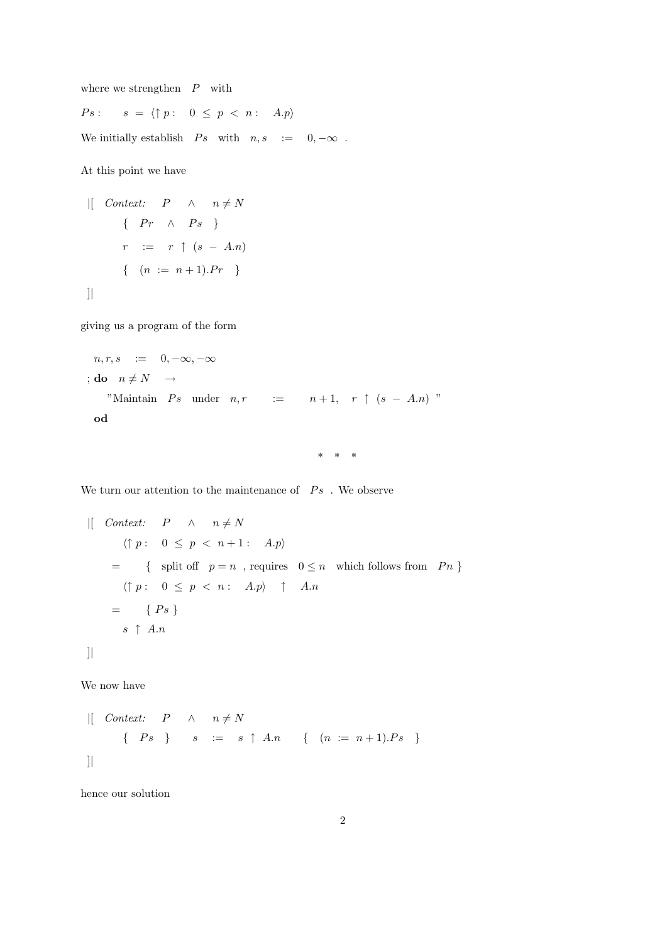where we strengthen  $P$  with

 $Ps: s = \langle \uparrow p : 0 \leq p < n : A.p \rangle$ 

We initially establish  $\;\; Ps \;\; \text{ with } \;\; n,s \;\; := \;\; \; 0,-\infty \;\;.$ 

At this point we have

$$
\begin{array}{rcl}\n\text{[} & \text{Context:} & P & \wedge & n \neq N \\
\text{ } & \{ \begin{array}{rcl} Pr & \wedge & Ps \end{array} \} \\
r & := & r \uparrow (s - A.n) \\
\text{ } & \{ \begin{array}{rcl} (n & := n + 1).Pr \end{array} \} \\
\text{]}\n\end{array}
$$

giving us a program of the form

$$
n, r, s := 0, -\infty, -\infty
$$
  
\n
$$
;\text{do } n \neq N \rightarrow
$$
  
\n"Maintain *Ps* under *n*, $r := n+1, r \uparrow (s - A.n)$ "  
\n
$$
\text{od}
$$

\* \* \*

We turn our attention to the maintenance of  $\;\;Ps\;$  . We observe

$$
\begin{array}{lll}\n\text{[} & \text{Context:} & P & \land & n \neq N \\
& \langle \uparrow p : 0 \leq p < n+1 : A.p \rangle \\
& = & \{ \text{ split off } p = n \text{ , requires } 0 \leq n \text{ which follows from } Pn \} \\
& \langle \uparrow p : 0 \leq p < n : A.p \rangle \uparrow A.n \\
& = & \{ \text{Ps } \} \\
& s \uparrow A.n \\
\text{]} \n\end{array}
$$

We now have

$$
\begin{array}{rcl}\n\text{[} & \text{Context:} & P & \wedge & n \neq N \\
\text{ } & \{ \begin{array}{rcl} Ps \end{array} \} & s & := & s \uparrow A.n \quad \{ \begin{array}{rcl} (n := n+1).Ps \end{array} \} \\
\text{]}\n\end{array}
$$

hence our solution